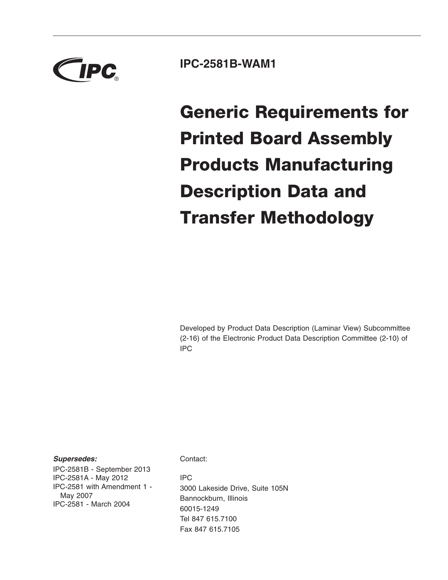

# **IPC-2581B-WAM1**

**Generic Requirements for Printed Board Assembly Products Manufacturing Description Data and Transfer Methodology**

Developed by Product Data Description (Laminar View) Subcommittee (2-16) of the Electronic Product Data Description Committee (2-10) of IPC

*Supersedes:*

IPC-2581B - September 2013 IPC-2581A - May 2012 IPC-2581 with Amendment 1 - May 2007 IPC-2581 - March 2004

Contact:

IPC 3000 Lakeside Drive, Suite 105N Bannockburn, Illinois 60015-1249 Tel 847 615.7100 Fax 847 615.7105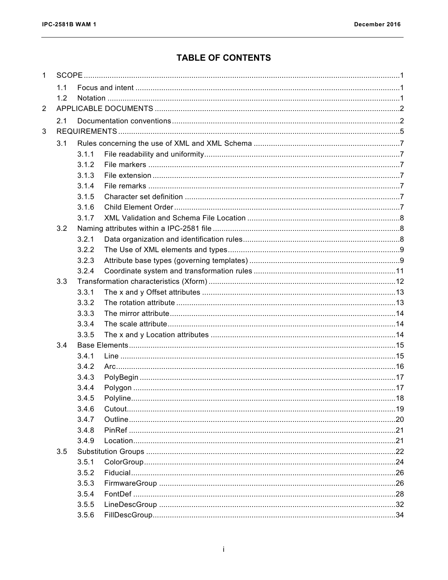# **TABLE OF CONTENTS**

| $\mathbf{1}$   |     |       |  |  |  |  |  |
|----------------|-----|-------|--|--|--|--|--|
|                | 1.1 |       |  |  |  |  |  |
|                | 1.2 |       |  |  |  |  |  |
| $\overline{2}$ |     |       |  |  |  |  |  |
|                | 2.1 |       |  |  |  |  |  |
| 3              |     |       |  |  |  |  |  |
|                | 3.1 |       |  |  |  |  |  |
|                |     | 3.1.1 |  |  |  |  |  |
|                |     | 3.1.2 |  |  |  |  |  |
|                |     | 3.1.3 |  |  |  |  |  |
|                |     | 3.1.4 |  |  |  |  |  |
|                |     | 3.1.5 |  |  |  |  |  |
|                |     | 3.1.6 |  |  |  |  |  |
|                |     | 3.1.7 |  |  |  |  |  |
|                | 3.2 |       |  |  |  |  |  |
|                |     | 3.2.1 |  |  |  |  |  |
|                |     | 3.2.2 |  |  |  |  |  |
|                |     | 3.2.3 |  |  |  |  |  |
|                |     | 3.2.4 |  |  |  |  |  |
|                | 3.3 |       |  |  |  |  |  |
|                |     | 3.3.1 |  |  |  |  |  |
|                |     | 3.3.2 |  |  |  |  |  |
|                |     | 3.3.3 |  |  |  |  |  |
|                |     | 3.3.4 |  |  |  |  |  |
|                |     | 3.3.5 |  |  |  |  |  |
|                | 3.4 |       |  |  |  |  |  |
|                |     | 3.4.1 |  |  |  |  |  |
|                |     | 3.4.2 |  |  |  |  |  |
|                |     | 3.4.3 |  |  |  |  |  |
|                |     | 3.4.4 |  |  |  |  |  |
|                |     | 3.4.5 |  |  |  |  |  |
|                |     | 3.4.6 |  |  |  |  |  |
|                |     | 3.4.7 |  |  |  |  |  |
|                |     | 3.4.8 |  |  |  |  |  |
|                |     | 3.4.9 |  |  |  |  |  |
|                | 3.5 |       |  |  |  |  |  |
|                |     | 3.5.1 |  |  |  |  |  |
|                |     | 3.5.2 |  |  |  |  |  |
|                |     | 3.5.3 |  |  |  |  |  |
|                |     | 3.5.4 |  |  |  |  |  |
|                |     | 3.5.5 |  |  |  |  |  |
|                |     | 3.5.6 |  |  |  |  |  |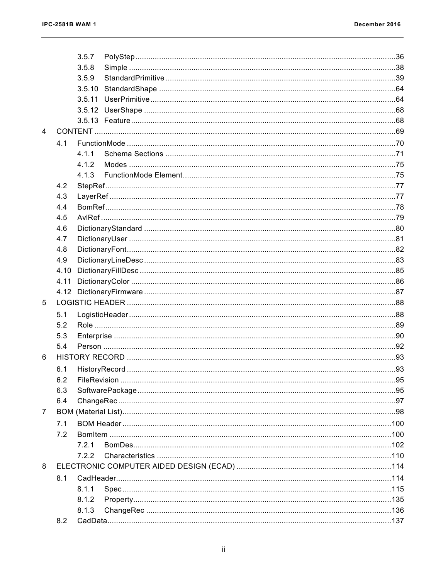|                |      | 3.5.7  |  |  |  |  |
|----------------|------|--------|--|--|--|--|
|                |      | 3.5.8  |  |  |  |  |
|                |      | 3.5.9  |  |  |  |  |
|                |      | 3.5.10 |  |  |  |  |
|                |      | 3.5.11 |  |  |  |  |
|                |      |        |  |  |  |  |
|                |      |        |  |  |  |  |
| $\overline{4}$ |      |        |  |  |  |  |
|                | 4.1  |        |  |  |  |  |
|                |      | 4.1.1  |  |  |  |  |
|                |      | 4.1.2  |  |  |  |  |
|                |      | 4.1.3  |  |  |  |  |
|                | 4.2  |        |  |  |  |  |
|                | 4.3  |        |  |  |  |  |
|                | 4.4  |        |  |  |  |  |
|                | 4.5  |        |  |  |  |  |
|                | 4.6  |        |  |  |  |  |
|                | 4.7  |        |  |  |  |  |
|                | 4.8  |        |  |  |  |  |
|                | 4.9  |        |  |  |  |  |
|                | 4.10 |        |  |  |  |  |
|                | 4.11 |        |  |  |  |  |
|                |      |        |  |  |  |  |
| 5              |      |        |  |  |  |  |
|                | 5.1  |        |  |  |  |  |
|                | 5.2  |        |  |  |  |  |
|                | 5.3  |        |  |  |  |  |
|                | 5.4  |        |  |  |  |  |
| 6              |      |        |  |  |  |  |
|                | 6.1  |        |  |  |  |  |
|                | 6.2  |        |  |  |  |  |
|                | 6.3  |        |  |  |  |  |
|                | 6.4  |        |  |  |  |  |
| 7              |      |        |  |  |  |  |
|                | 7.1  |        |  |  |  |  |
|                | 7.2  |        |  |  |  |  |
|                |      | 7.2.1  |  |  |  |  |
|                |      | 7.2.2  |  |  |  |  |
| 8              |      |        |  |  |  |  |
|                | 8.1  |        |  |  |  |  |
|                |      | 8.1.1  |  |  |  |  |
|                |      | 8.1.2  |  |  |  |  |
|                |      | 8.1.3  |  |  |  |  |
|                | 8.2  |        |  |  |  |  |
|                |      |        |  |  |  |  |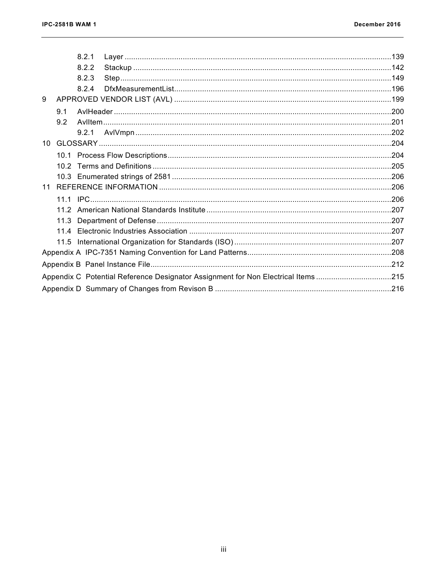|    |                                                                                  | 8.2.1 |  |  |  |  |  |
|----|----------------------------------------------------------------------------------|-------|--|--|--|--|--|
|    |                                                                                  | 8.2.2 |  |  |  |  |  |
|    |                                                                                  | 8.2.3 |  |  |  |  |  |
|    |                                                                                  | 8.2.4 |  |  |  |  |  |
| 9  |                                                                                  |       |  |  |  |  |  |
|    | 9.1                                                                              |       |  |  |  |  |  |
|    | 9.2                                                                              |       |  |  |  |  |  |
|    |                                                                                  | 9.2.1 |  |  |  |  |  |
| 10 |                                                                                  |       |  |  |  |  |  |
|    |                                                                                  |       |  |  |  |  |  |
|    |                                                                                  |       |  |  |  |  |  |
|    |                                                                                  |       |  |  |  |  |  |
|    |                                                                                  |       |  |  |  |  |  |
|    |                                                                                  |       |  |  |  |  |  |
|    |                                                                                  |       |  |  |  |  |  |
|    | 11.3                                                                             |       |  |  |  |  |  |
|    |                                                                                  |       |  |  |  |  |  |
|    | 11.5                                                                             |       |  |  |  |  |  |
|    |                                                                                  |       |  |  |  |  |  |
|    |                                                                                  |       |  |  |  |  |  |
|    | Appendix C Potential Reference Designator Assignment for Non Electrical Items215 |       |  |  |  |  |  |
|    |                                                                                  |       |  |  |  |  |  |